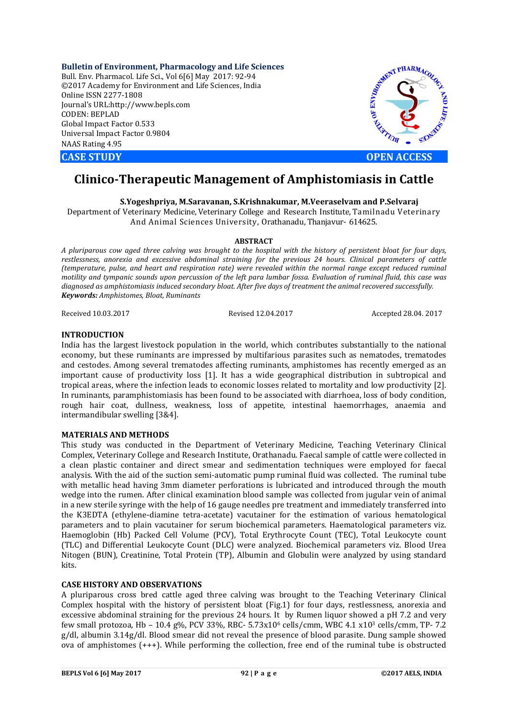**Bulletin of Environment, Pharmacology and Life Sciences** Bull. Env. Pharmacol. Life Sci., Vol 6[6] May 2017: 92-94 ©2017 Academy for Environment and Life Sciences, India Online ISSN 2277-1808 Journal's URL:http://www.bepls.com CODEN: BEPLAD Global Impact Factor 0.533 Universal Impact Factor 0.9804 NAAS Rating 4.95





# **Clinico-Therapeutic Management of Amphistomiasis in Cattle**

**S.Yogeshpriya, M.Saravanan, S.Krishnakumar, M.Veeraselvam and P.Selvaraj**

Department of Veterinary Medicine, Veterinary College and Research Institute, Tamilnadu Veterinary And Animal Sciences University, Orathanadu, Thanjavur- 614625.

## **ABSTRACT**

*A pluriparous cow aged three calving was brought to the hospital with the history of persistent bloat for four days, restlessness, anorexia and excessive abdominal straining for the previous 24 hours. Clinical parameters of cattle (temperature, pulse, and heart and respiration rate) were revealed within the normal range except reduced ruminal motility and tympanic sounds upon percussion of the left para lumbar fossa. Evaluation of ruminal fluid, this case was diagnosed as amphistomiasis induced secondary bloat. After five days of treatment the animal recovered successfully. Keywords: Amphistomes, Bloat, Ruminants*

Received 10.03.2017 Revised 12.04.2017 Accepted 28.04. 2017

## **INTRODUCTION**

India has the largest livestock population in the world, which contributes substantially to the national economy, but these ruminants are impressed by multifarious parasites such as nematodes, trematodes and cestodes. Among several trematodes affecting ruminants, amphistomes has recently emerged as an important cause of productivity loss [1]. It has a wide geographical distribution in subtropical and tropical areas, where the infection leads to economic losses related to mortality and low productivity [2]. In ruminants, paramphistomiasis has been found to be associated with diarrhoea, loss of body condition, rough hair coat, dullness, weakness, loss of appetite, intestinal haemorrhages, anaemia and intermandibular swelling [3&4].

## **MATERIALS AND METHODS**

This study was conducted in the Department of Veterinary Medicine, Teaching Veterinary Clinical Complex, Veterinary College and Research Institute, Orathanadu. Faecal sample of cattle were collected in a clean plastic container and direct smear and sedimentation techniques were employed for faecal analysis. With the aid of the suction semi-automatic pump ruminal fluid was collected. The ruminal tube with metallic head having 3mm diameter perforations is lubricated and introduced through the mouth wedge into the rumen. After clinical examination blood sample was collected from jugular vein of animal in a new sterile syringe with the help of 16 gauge needles pre treatment and immediately transferred into the K3EDTA (ethylene-diamine tetra-acetate) vacutainer for the estimation of various hematological parameters and to plain vacutainer for serum biochemical parameters. Haematological parameters viz. Haemoglobin (Hb) Packed Cell Volume (PCV), Total Erythrocyte Count (TEC), Total Leukocyte count (TLC) and Differential Leukocyte Count (DLC) were analyzed. Biochemical parameters viz. Blood Urea Nitogen (BUN), Creatinine, Total Protein (TP), Albumin and Globulin were analyzed by using standard kits.

## **CASE HISTORY AND OBSERVATIONS**

A pluriparous cross bred cattle aged three calving was brought to the Teaching Veterinary Clinical Complex hospital with the history of persistent bloat (Fig.1) for four days, restlessness, anorexia and excessive abdominal straining for the previous 24 hours. It by Rumen liquor showed a pH 7.2 and very few small protozoa, Hb – 10.4 g%, PCV 33%, RBC- 5.73x106 cells/cmm, WBC 4.1 x103 cells/cmm, TP- 7.2 g/dl, albumin 3.14g/dl. Blood smear did not reveal the presence of blood parasite. Dung sample showed ova of amphistomes (+++). While performing the collection, free end of the ruminal tube is obstructed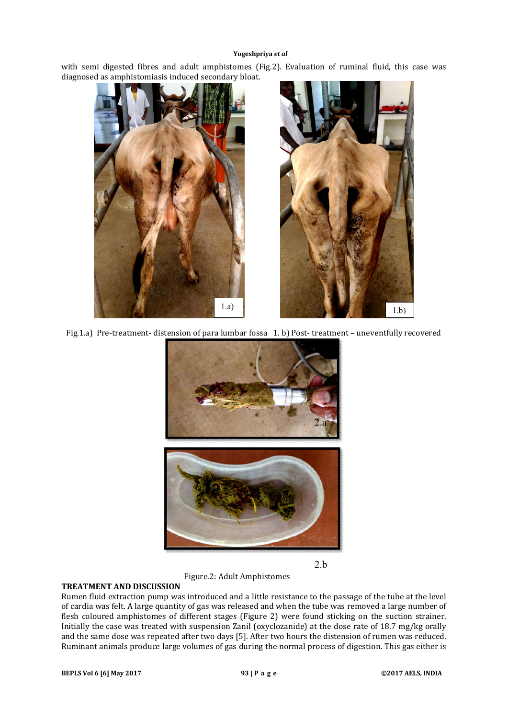#### **Yogeshpriya** *et al*

with semi digested fibres and adult amphistomes (Fig.2). Evaluation of ruminal fluid, this case was diagnosed as amphistomiasis induced secondary bloat.



Fig.1.a) Pre-treatment- distension of para lumbar fossa 1. b) Post- treatment – uneventfully recovered



2.b

Figure.2: Adult Amphistomes

## **TREATMENT AND DISCUSSION**

Rumen fluid extraction pump was introduced and a little resistance to the passage of the tube at the level of cardia was felt. A large quantity of gas was released and when the tube was removed a large number of flesh coloured amphistomes of different stages (Figure 2) were found sticking on the suction strainer. Initially the case was treated with suspension Zanil (oxyclozanide) at the dose rate of 18.7 mg/kg orally and the same dose was repeated after two days [5]. After two hours the distension of rumen was reduced. Ruminant animals produce large volumes of gas during the normal process of digestion. This gas either is